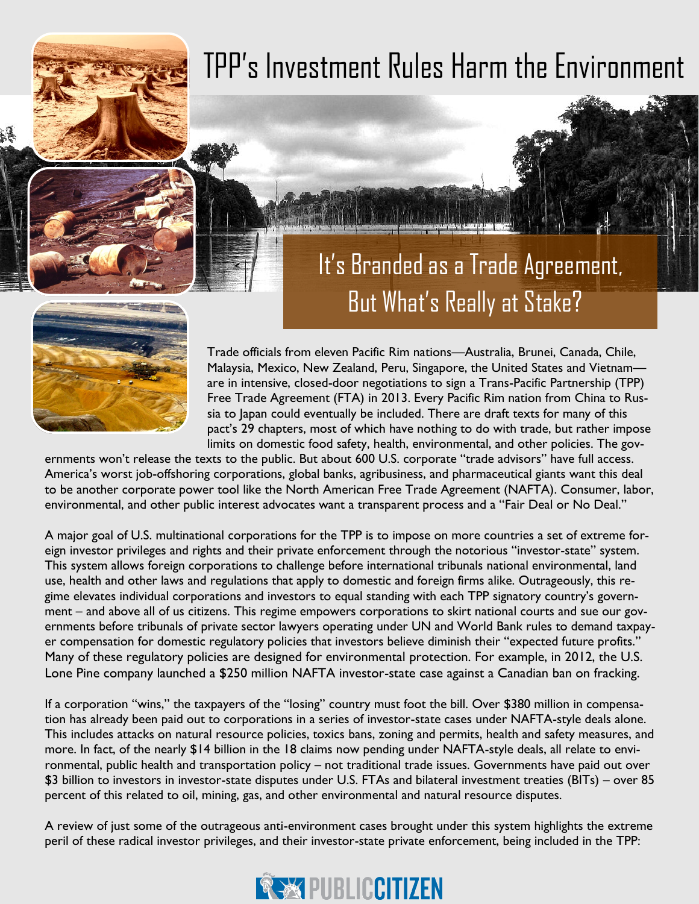# TPP's Investment Rules Harm the Environment

## But What's Really at Stake? It's Branded as a Trade Agreement,



Trade officials from eleven Pacific Rim nations—Australia, Brunei, Canada, Chile, Malaysia, Mexico, New Zealand, Peru, Singapore, the United States and Vietnam are in intensive, closed-door negotiations to sign a Trans-Pacific Partnership (TPP) Free Trade Agreement (FTA) in 2013. Every Pacific Rim nation from China to Russia to Japan could eventually be included. There are draft texts for many of this pact's 29 chapters, most of which have nothing to do with trade, but rather impose limits on domestic food safety, health, environmental, and other policies. The gov-

ernments won't release the texts to the public. But about 600 U.S. corporate "trade advisors" have full access. America's worst job-offshoring corporations, global banks, agribusiness, and pharmaceutical giants want this deal to be another corporate power tool like the North American Free Trade Agreement (NAFTA). Consumer, labor, environmental, and other public interest advocates want a transparent process and a "Fair Deal or No Deal."

A major goal of U.S. multinational corporations for the TPP is to impose on more countries a set of extreme foreign investor privileges and rights and their private enforcement through the notorious "investor-state" system. This system allows foreign corporations to challenge before international tribunals national environmental, land use, health and other laws and regulations that apply to domestic and foreign firms alike. Outrageously, this regime elevates individual corporations and investors to equal standing with each TPP signatory country's government – and above all of us citizens. This regime empowers corporations to skirt national courts and sue our governments before tribunals of private sector lawyers operating under UN and World Bank rules to demand taxpayer compensation for domestic regulatory policies that investors believe diminish their "expected future profits." Many of these regulatory policies are designed for environmental protection. For example, in 2012, the U.S. Lone Pine company launched a \$250 million NAFTA investor-state case against a Canadian ban on fracking.

If a corporation "wins," the taxpayers of the "losing" country must foot the bill. Over \$380 million in compensation has already been paid out to corporations in a series of investor-state cases under NAFTA-style deals alone. This includes attacks on natural resource policies, toxics bans, zoning and permits, health and safety measures, and more. In fact, of the nearly \$14 billion in the 18 claims now pending under NAFTA-style deals, all relate to environmental, public health and transportation policy – not traditional trade issues. Governments have paid out over \$3 billion to investors in investor-state disputes under U.S. FTAs and bilateral investment treaties (BITs) – over 85 percent of this related to oil, mining, gas, and other environmental and natural resource disputes.

A review of just some of the outrageous anti-environment cases brought under this system highlights the extreme peril of these radical investor privileges, and their investor-state private enforcement, being included in the TPP:

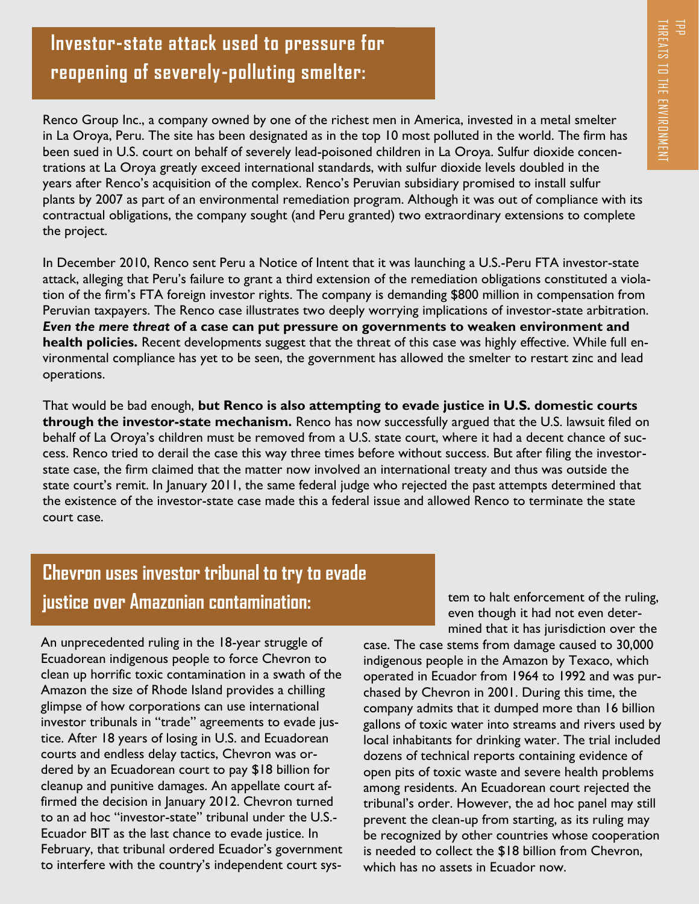## **Investor-state attack used to pressure for reopening of severely-polluting smelter:**

Renco Group Inc., a company owned by one of the richest men in America, invested in a metal smelter in La Oroya, Peru. The site has been designated as in the top 10 most polluted in the world. The firm has been sued in U.S. court on behalf of severely lead-poisoned children in La Oroya. Sulfur dioxide concentrations at La Oroya greatly exceed international standards, with sulfur dioxide levels doubled in the years after Renco's acquisition of the complex. Renco's Peruvian subsidiary promised to install sulfur plants by 2007 as part of an environmental remediation program. Although it was out of compliance with its contractual obligations, the company sought (and Peru granted) two extraordinary extensions to complete the project.

In December 2010, Renco sent Peru a Notice of Intent that it was launching a U.S.-Peru FTA investor-state attack, alleging that Peru's failure to grant a third extension of the remediation obligations constituted a violation of the firm's FTA foreign investor rights. The company is demanding \$800 million in compensation from Peruvian taxpayers. The Renco case illustrates two deeply worrying implications of investor-state arbitration. *Even the mere threat* **of a case can put pressure on governments to weaken environment and health policies.** Recent developments suggest that the threat of this case was highly effective. While full environmental compliance has yet to be seen, the government has allowed the smelter to restart zinc and lead operations.

That would be bad enough, **but Renco is also attempting to evade justice in U.S. domestic courts through the investor-state mechanism.** Renco has now successfully argued that the U.S. lawsuit filed on behalf of La Oroya's children must be removed from a U.S. state court, where it had a decent chance of success. Renco tried to derail the case this way three times before without success. But after filing the investorstate case, the firm claimed that the matter now involved an international treaty and thus was outside the state court's remit. In January 2011, the same federal judge who rejected the past attempts determined that the existence of the investor-state case made this a federal issue and allowed Renco to terminate the state court case.

## **Chevron uses investor tribunal to try to evade justice over Amazonian contamination:**

An unprecedented ruling in the 18-year struggle of Ecuadorean indigenous people to force Chevron to clean up horrific toxic contamination in a swath of the Amazon the size of Rhode Island provides a chilling glimpse of how corporations can use international investor tribunals in "trade" agreements to evade justice. After 18 years of losing in U.S. and Ecuadorean courts and endless delay tactics, Chevron was ordered by an Ecuadorean court to pay \$18 billion for cleanup and punitive damages. An appellate court affirmed the decision in January 2012. Chevron turned to an ad hoc "investor-state" tribunal under the U.S.- Ecuador BIT as the last chance to evade justice. In February, that tribunal ordered Ecuador's government to interfere with the country's independent court sys-

tem to halt enforcement of the ruling, even though it had not even determined that it has jurisdiction over the

case. The case stems from damage caused to 30,000 indigenous people in the Amazon by Texaco, which operated in Ecuador from 1964 to 1992 and was purchased by Chevron in 2001. During this time, the company admits that it dumped more than 16 billion gallons of toxic water into streams and rivers used by local inhabitants for drinking water. The trial included dozens of technical reports containing evidence of open pits of toxic waste and severe health problems among residents. An Ecuadorean court rejected the tribunal's order. However, the ad hoc panel may still prevent the clean-up from starting, as its ruling may be recognized by other countries whose cooperation is needed to collect the \$18 billion from Chevron, which has no assets in Ecuador now.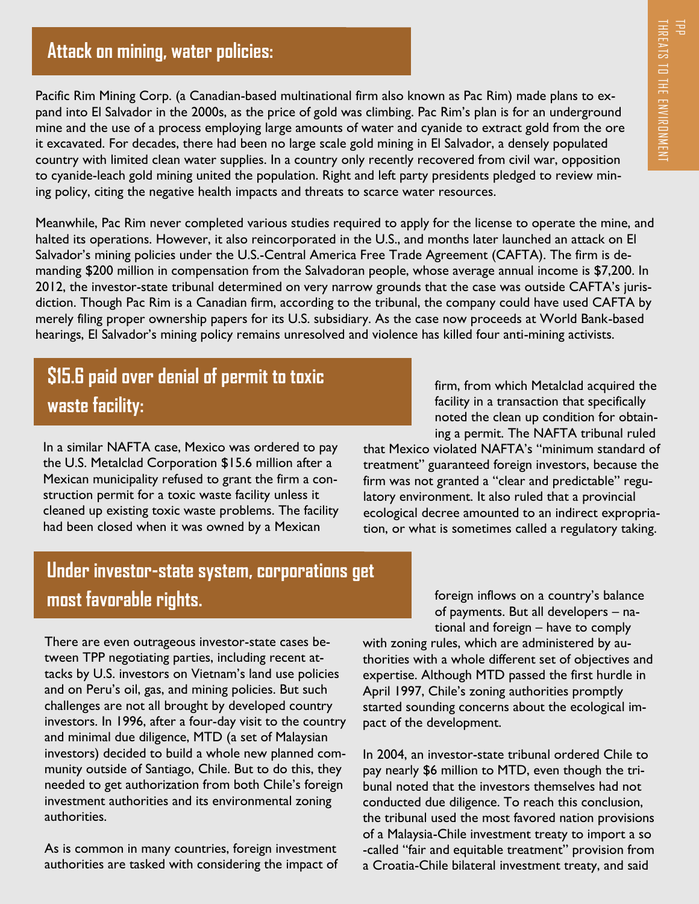#### **Attack on mining, water policies:**

Pacific Rim Mining Corp. (a Canadian-based multinational firm also known as Pac Rim) made plans to expand into El Salvador in the 2000s, as the price of gold was climbing. Pac Rim's plan is for an underground mine and the use of a process employing large amounts of water and cyanide to extract gold from the ore it excavated. For decades, there had been no large scale gold mining in El Salvador, a densely populated country with limited clean water supplies. In a country only recently recovered from civil war, opposition to cyanide-leach gold mining united the population. Right and left party presidents pledged to review mining policy, citing the negative health impacts and threats to scarce water resources.

Meanwhile, Pac Rim never completed various studies required to apply for the license to operate the mine, and halted its operations. However, it also reincorporated in the U.S., and months later launched an attack on El Salvador's mining policies under the U.S.-Central America Free Trade Agreement (CAFTA). The firm is demanding \$200 million in compensation from the Salvadoran people, whose average annual income is \$7,200. In 2012, the investor-state tribunal determined on very narrow grounds that the case was outside CAFTA's jurisdiction. Though Pac Rim is a Canadian firm, according to the tribunal, the company could have used CAFTA by merely filing proper ownership papers for its U.S. subsidiary. As the case now proceeds at World Bank-based hearings, El Salvador's mining policy remains unresolved and violence has killed four anti-mining activists. The solution of the Rincore and Called a regulatory and the properties and constant and constant going in the Salar or where a recently recovered from civil war, opposition of the metally recovered from civil war, oppositi

## **\$15.6 paid over denial of permit to toxic waste facility:**

In a similar NAFTA case, Mexico was ordered to pay the U.S. Metalclad Corporation \$15.6 million after a Mexican municipality refused to grant the firm a construction permit for a toxic waste facility unless it cleaned up existing toxic waste problems. The facility had been closed when it was owned by a Mexican

firm, from which Metalclad acquired the facility in a transaction that specifically noted the clean up condition for obtaining a permit. The NAFTA tribunal ruled

that Mexico violated NAFTA's "minimum standard of treatment" guaranteed foreign investors, because the firm was not granted a "clear and predictable" regulatory environment. It also ruled that a provincial ecological decree amounted to an indirect expropria-

## **Under investor-state system, corporations get most favorable rights.**

There are even outrageous investor-state cases between TPP negotiating parties, including recent attacks by U.S. investors on Vietnam's land use policies and on Peru's oil, gas, and mining policies. But such challenges are not all brought by developed country investors. In 1996, after a four-day visit to the country and minimal due diligence, MTD (a set of Malaysian investors) decided to build a whole new planned community outside of Santiago, Chile. But to do this, they needed to get authorization from both Chile's foreign investment authorities and its environmental zoning authorities.

As is common in many countries, foreign investment authorities are tasked with considering the impact of foreign inflows on a country's balance of payments. But all developers – national and foreign – have to comply

with zoning rules, which are administered by authorities with a whole different set of objectives and expertise. Although MTD passed the first hurdle in April 1997, Chile's zoning authorities promptly started sounding concerns about the ecological impact of the development.

In 2004, an investor-state tribunal ordered Chile to pay nearly \$6 million to MTD, even though the tribunal noted that the investors themselves had not conducted due diligence. To reach this conclusion, the tribunal used the most favored nation provisions of a Malaysia-Chile investment treaty to import a so -called "fair and equitable treatment" provision from a Croatia-Chile bilateral investment treaty, and said